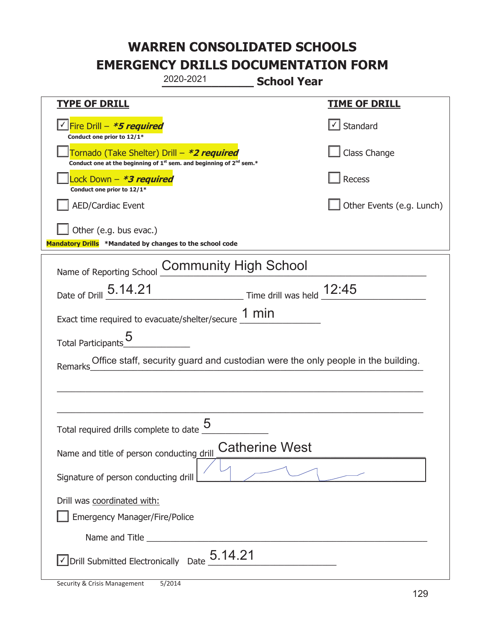|                                                                                    | 2020-2021                                                                                   | <b>School Year</b>                                                               |  |
|------------------------------------------------------------------------------------|---------------------------------------------------------------------------------------------|----------------------------------------------------------------------------------|--|
| <b>TYPE OF DRILL</b>                                                               |                                                                                             | <b>TIME OF DRILL</b>                                                             |  |
| <u>√ Fire Drill – <i>*5 required</i></u><br>Conduct one prior to 12/1*             |                                                                                             | $\boxed{\checkmark}$ Standard                                                    |  |
| Tornado (Take Shelter) Drill – *2 required                                         | Conduct one at the beginning of 1 <sup>st</sup> sem. and beginning of 2 <sup>nd</sup> sem.* | Class Change                                                                     |  |
| Lock Down - *3 required<br>Conduct one prior to 12/1*                              |                                                                                             | Recess                                                                           |  |
| <b>AED/Cardiac Event</b>                                                           |                                                                                             | Other Events (e.g. Lunch)                                                        |  |
| Other (e.g. bus evac.)<br>Mandatory Drills *Mandated by changes to the school code |                                                                                             |                                                                                  |  |
| Name of Reporting School                                                           | <b>Community High School</b>                                                                |                                                                                  |  |
| Date of Drill 5.14.21                                                              |                                                                                             | Time drill was held 12:45                                                        |  |
|                                                                                    | Exact time required to evacuate/shelter/secure $\underline{\hspace{1em} 1}$ min             |                                                                                  |  |
| Total Participants_                                                                |                                                                                             |                                                                                  |  |
| Remarks                                                                            |                                                                                             | Office staff, security guard and custodian were the only people in the building. |  |
|                                                                                    |                                                                                             |                                                                                  |  |
|                                                                                    |                                                                                             |                                                                                  |  |
| Total required drills complete to date $\frac{5}{4}$                               |                                                                                             |                                                                                  |  |
| Name and title of person conducting drill                                          |                                                                                             | <b>Catherine West</b>                                                            |  |
| Signature of person conducting drill                                               |                                                                                             |                                                                                  |  |
| Drill was coordinated with:<br><b>Emergency Manager/Fire/Police</b>                |                                                                                             |                                                                                  |  |
|                                                                                    |                                                                                             |                                                                                  |  |
| $\vee$ Drill Submitted Electronically Date $_+$ 5.14.21                            |                                                                                             |                                                                                  |  |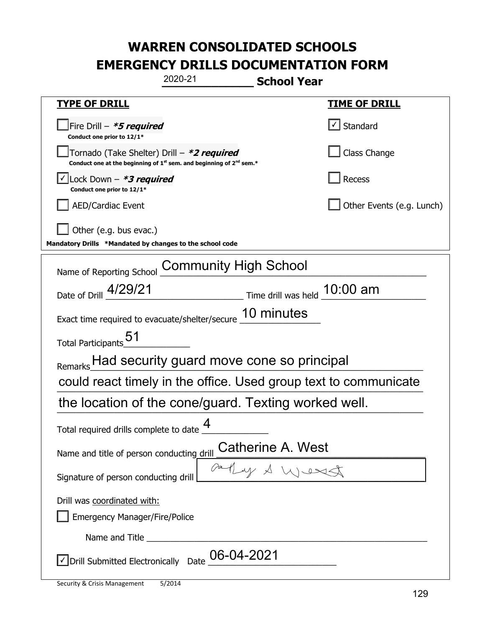| 2020-21                                                                                                                     | <b>School Year</b>                                         |  |  |  |
|-----------------------------------------------------------------------------------------------------------------------------|------------------------------------------------------------|--|--|--|
| <b>TYPE OF DRILL</b>                                                                                                        | <u>TIME OF DRILL</u>                                       |  |  |  |
| Fire Drill - *5 required<br>Conduct one prior to 12/1*                                                                      | $\vert\text{-}\vert$ Standard                              |  |  |  |
| Tornado (Take Shelter) Drill – *2 required<br>Conduct one at the beginning of $1^{st}$ sem. and beginning of $2^{nd}$ sem.* | Class Change                                               |  |  |  |
| $\vert$ Lock Down - <b>*3 required</b><br>Conduct one prior to 12/1*                                                        | Recess                                                     |  |  |  |
| <b>AED/Cardiac Event</b>                                                                                                    | Other Events (e.g. Lunch)                                  |  |  |  |
| Other (e.g. bus evac.)<br>Mandatory Drills *Mandated by changes to the school code                                          |                                                            |  |  |  |
| <b>Community High School</b><br>Name of Reporting School                                                                    |                                                            |  |  |  |
| Date of Drill 4/29/21                                                                                                       | $\frac{10:00}{2}$ Time drill was held $\frac{10:00}{2}$ am |  |  |  |
| Exact time required to evacuate/shelter/secure 10 minutes                                                                   |                                                            |  |  |  |
| Total Participants_51                                                                                                       |                                                            |  |  |  |
| Remarks Had security guard move cone so principal                                                                           |                                                            |  |  |  |
| could react timely in the office. Used group text to communicate                                                            |                                                            |  |  |  |
| the location of the cone/guard. Texting worked well.                                                                        |                                                            |  |  |  |
| Δ<br>Total required drills complete to date                                                                                 |                                                            |  |  |  |
| Name and title of person conducting drill                                                                                   | Catherine A. West                                          |  |  |  |
| Signature of person conducting drill                                                                                        | Gathy & West                                               |  |  |  |
| Drill was coordinated with:<br><b>Emergency Manager/Fire/Police</b>                                                         |                                                            |  |  |  |
|                                                                                                                             |                                                            |  |  |  |
| $\sqrt{\phantom{a}}$ Drill Submitted Electronically Date $\underline{\phantom{a}}$ O6-04-2021                               |                                                            |  |  |  |

t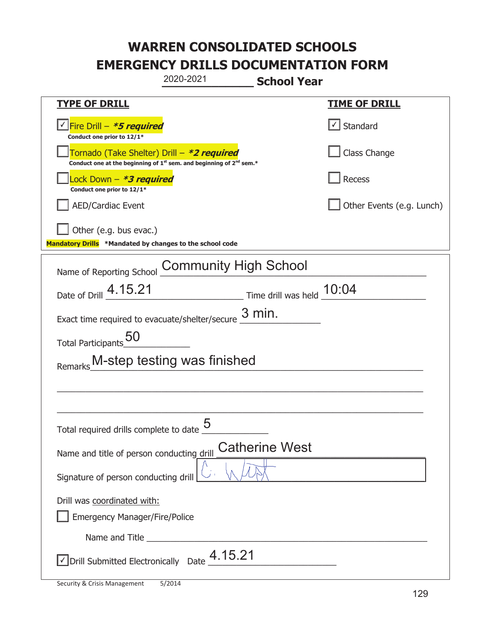|                                                                                    | 2020-2021<br><b>School Year</b>                                                             |                                     |
|------------------------------------------------------------------------------------|---------------------------------------------------------------------------------------------|-------------------------------------|
| <b>TYPE OF DRILL</b>                                                               |                                                                                             | <b>TIME OF DRILL</b>                |
| <u>√ Fire Drill – *5 required</u><br>Conduct one prior to 12/1*                    |                                                                                             | $\boxed{\checkmark}$ Standard       |
| Tornado (Take Shelter) Drill – *2 required                                         | Conduct one at the beginning of 1 <sup>st</sup> sem. and beginning of 2 <sup>nd</sup> sem.* | Class Change                        |
| Lock Down - *3 required<br>Conduct one prior to 12/1*                              |                                                                                             | Recess                              |
| <b>AED/Cardiac Event</b>                                                           |                                                                                             | Other Events (e.g. Lunch)           |
| Other (e.g. bus evac.)<br>Mandatory Drills *Mandated by changes to the school code |                                                                                             |                                     |
| Name of Reporting School                                                           | <b>Community High School</b>                                                                |                                     |
| Date of Drill 4.15.21                                                              |                                                                                             | $\_$ Time drill was held $\_$ 10:04 |
| Exact time required to evacuate/shelter/secure                                     | $3$ min.                                                                                    |                                     |
| Total Participants_50                                                              |                                                                                             |                                     |
| Remarks M-step testing was finished                                                |                                                                                             |                                     |
|                                                                                    |                                                                                             |                                     |
|                                                                                    |                                                                                             |                                     |
| Total required drills complete to date $\frac{5}{4}$                               |                                                                                             |                                     |
| Name and title of person conducting drill                                          | <b>Catherine West</b>                                                                       |                                     |
| Signature of person conducting drill                                               |                                                                                             |                                     |
| Drill was coordinated with:<br><b>Emergency Manager/Fire/Police</b>                |                                                                                             |                                     |
|                                                                                    |                                                                                             |                                     |
| $\vee$ Drill Submitted Electronically Date $\frac{4.15.21}{ }$                     |                                                                                             |                                     |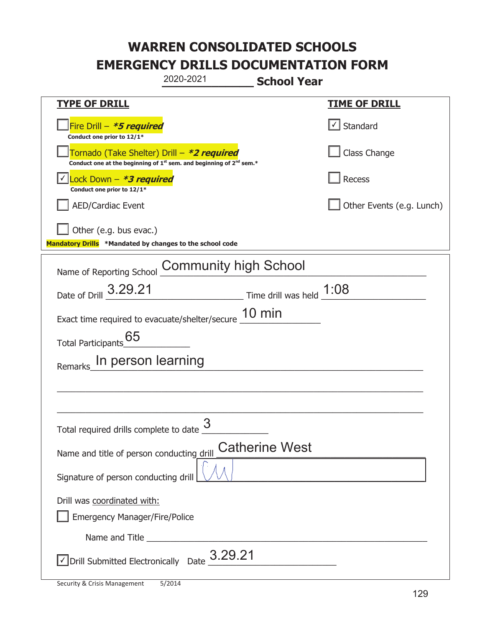|                                                                                    | 2020-2021                                                                                   | <b>School Year</b>                                                                |                           |
|------------------------------------------------------------------------------------|---------------------------------------------------------------------------------------------|-----------------------------------------------------------------------------------|---------------------------|
| <u>TYPE OF DRILL</u>                                                               |                                                                                             |                                                                                   | <u>TIME OF DRILL</u>      |
| Fire Drill - *5 required<br>Conduct one prior to 12/1*                             |                                                                                             |                                                                                   | $\lfloor$ Standard        |
| Tornado (Take Shelter) Drill – *2 required                                         | Conduct one at the beginning of 1 <sup>st</sup> sem. and beginning of 2 <sup>nd</sup> sem.* |                                                                                   | Class Change              |
| Lock Down - *3 required<br>Conduct one prior to 12/1*                              |                                                                                             |                                                                                   | Recess                    |
| <b>AED/Cardiac Event</b>                                                           |                                                                                             |                                                                                   | Other Events (e.g. Lunch) |
| Other (e.g. bus evac.)<br>Mandatory Drills *Mandated by changes to the school code |                                                                                             |                                                                                   |                           |
| Name of Reporting School                                                           | <b>Community high School</b>                                                                |                                                                                   |                           |
| Date of Drill 3.29.21                                                              |                                                                                             | $\frac{1.08}{\frac{1.000}{2}}$ Time drill was held $\frac{1.08}{\frac{1.000}{2}}$ |                           |
| Exact time required to evacuate/shelter/secure 10 min                              |                                                                                             |                                                                                   |                           |
| Total Participants 65                                                              |                                                                                             |                                                                                   |                           |
| In person learning<br>Remarks                                                      |                                                                                             |                                                                                   |                           |
|                                                                                    |                                                                                             |                                                                                   |                           |
|                                                                                    |                                                                                             |                                                                                   |                           |
| Total required drills complete to date $\frac{3}{5}$                               |                                                                                             |                                                                                   |                           |
| Name and title of person conducting drill                                          |                                                                                             | <b>Catherine West</b>                                                             |                           |
| Signature of person conducting drill                                               |                                                                                             |                                                                                   |                           |
| Drill was coordinated with:                                                        |                                                                                             |                                                                                   |                           |
| <b>Emergency Manager/Fire/Police</b>                                               |                                                                                             |                                                                                   |                           |
|                                                                                    |                                                                                             |                                                                                   |                           |
| $\vee$ Drill Submitted Electronically Date $3.29.21$                               |                                                                                             |                                                                                   |                           |

T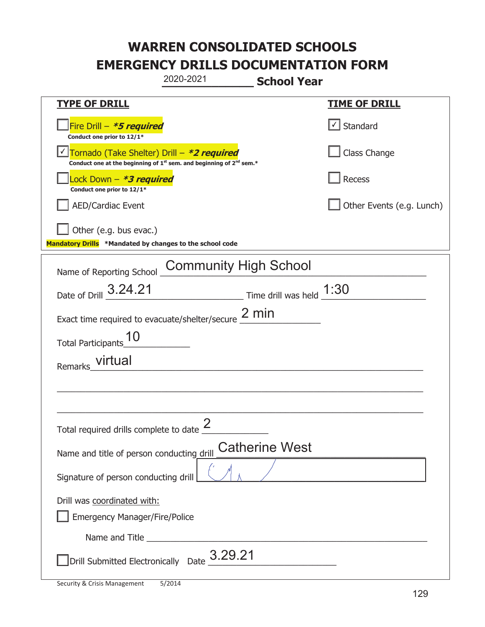|                                                                                    | 2020-2021                                                                                   | <b>School Year</b>                |
|------------------------------------------------------------------------------------|---------------------------------------------------------------------------------------------|-----------------------------------|
| <b>TYPE OF DRILL</b>                                                               |                                                                                             | <b>TIME OF DRILL</b>              |
| Fire Drill - *5 required<br>Conduct one prior to 12/1*                             |                                                                                             | $\lfloor \angle \rfloor$ Standard |
| Tornado (Take Shelter) Drill – *2 required                                         | Conduct one at the beginning of 1 <sup>st</sup> sem. and beginning of 2 <sup>nd</sup> sem.* | Class Change                      |
| Lock Down – <i>*<b>3 required</b></i><br>Conduct one prior to 12/1*                |                                                                                             | Recess                            |
| <b>AED/Cardiac Event</b>                                                           |                                                                                             | Other Events (e.g. Lunch)         |
| Other (e.g. bus evac.)<br>Mandatory Drills *Mandated by changes to the school code |                                                                                             |                                   |
| Name of Reporting School                                                           | <b>Community High School</b>                                                                |                                   |
| Date of Drill 3.24.21                                                              | $\frac{1:30}{1:30}$ Time drill was held $\frac{1:30}{1:30}$                                 |                                   |
|                                                                                    | Exact time required to evacuate/shelter/secure 2 min                                        |                                   |
| Total Participants                                                                 |                                                                                             |                                   |
| virtual<br>Remarks                                                                 |                                                                                             |                                   |
|                                                                                    |                                                                                             |                                   |
|                                                                                    |                                                                                             |                                   |
| Total required drills complete to date $\leq$                                      | $\mathcal{P}$                                                                               |                                   |
| Name and title of person conducting drill                                          | <b>Catherine West</b>                                                                       |                                   |
| Signature of person conducting drill                                               |                                                                                             |                                   |
| Drill was coordinated with:<br><b>Emergency Manager/Fire/Police</b>                |                                                                                             |                                   |
|                                                                                    |                                                                                             |                                   |
|                                                                                    | Drill Submitted Electronically Date $3.29.21$                                               |                                   |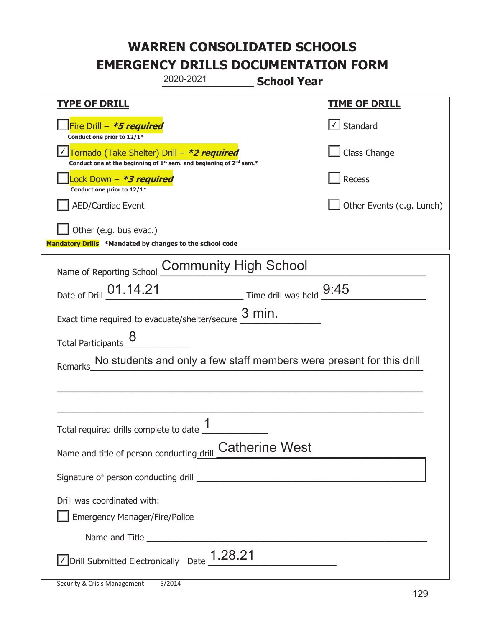|                                                                                    | 2020-2021                                                                                                                                 | <b>School Year</b>                                                        |                                                                      |
|------------------------------------------------------------------------------------|-------------------------------------------------------------------------------------------------------------------------------------------|---------------------------------------------------------------------------|----------------------------------------------------------------------|
| <b>TYPE OF DRILL</b>                                                               |                                                                                                                                           |                                                                           | <u>TIME OF DRILL</u>                                                 |
| Fire Drill - *5 required<br>Conduct one prior to 12/1*                             |                                                                                                                                           |                                                                           | $\cup$ Standard                                                      |
|                                                                                    | Tornado (Take Shelter) Drill – *2 required<br>Conduct one at the beginning of 1 <sup>st</sup> sem. and beginning of 2 <sup>nd</sup> sem.* |                                                                           | Class Change                                                         |
| Lock Down - *3 required<br>Conduct one prior to 12/1*                              |                                                                                                                                           |                                                                           | <b>Recess</b>                                                        |
| <b>AED/Cardiac Event</b>                                                           |                                                                                                                                           |                                                                           | Other Events (e.g. Lunch)                                            |
| Other (e.g. bus evac.)<br>Mandatory Drills *Mandated by changes to the school code |                                                                                                                                           |                                                                           |                                                                      |
|                                                                                    |                                                                                                                                           |                                                                           |                                                                      |
| Name of Reporting School                                                           | <b>Community High School</b>                                                                                                              |                                                                           |                                                                      |
| Date of Drill 01.14.21                                                             |                                                                                                                                           | $\frac{9.45}{\frac{1}{2}}$ Time drill was held $\frac{9.45}{\frac{1}{2}}$ |                                                                      |
| Exact time required to evacuate/shelter/secure                                     |                                                                                                                                           | $3$ min.                                                                  |                                                                      |
| <b>Total Participants</b>                                                          |                                                                                                                                           |                                                                           |                                                                      |
| Remarks                                                                            |                                                                                                                                           |                                                                           | No students and only a few staff members were present for this drill |
|                                                                                    |                                                                                                                                           |                                                                           |                                                                      |
|                                                                                    |                                                                                                                                           |                                                                           |                                                                      |
| Total required drills complete to date $\frac{1}{1}$                               |                                                                                                                                           |                                                                           |                                                                      |
| Name and title of person conducting drill                                          |                                                                                                                                           | <b>Catherine West</b>                                                     |                                                                      |
| Signature of person conducting drill                                               |                                                                                                                                           | <u> 1989 - Johann Barbara, martxa alemaniar a</u>                         |                                                                      |
| Drill was coordinated with:                                                        |                                                                                                                                           |                                                                           |                                                                      |
| <b>Emergency Manager/Fire/Police</b>                                               |                                                                                                                                           |                                                                           |                                                                      |
|                                                                                    |                                                                                                                                           |                                                                           |                                                                      |
| $\vee$ Drill Submitted Electronically Date $\_$ 1.28.21                            |                                                                                                                                           |                                                                           |                                                                      |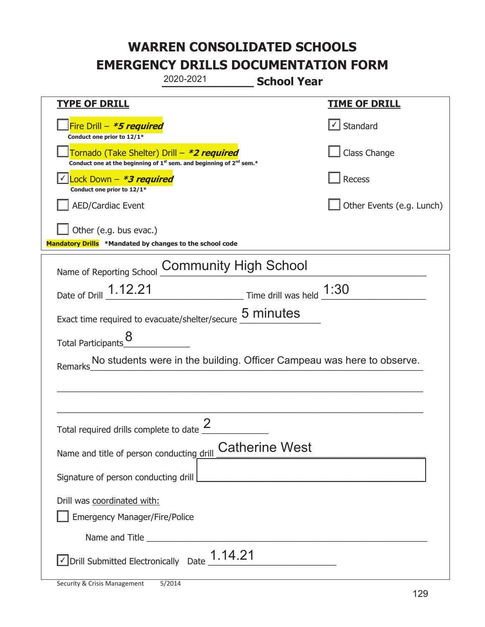|                                                                                                                                           | 2020-2021                    | <b>School Year</b>                                    |                                   |
|-------------------------------------------------------------------------------------------------------------------------------------------|------------------------------|-------------------------------------------------------|-----------------------------------|
| <b>TYPE OF DRILL</b>                                                                                                                      |                              |                                                       | <u>TIME OF DRILL</u>              |
| Fire Drill - *5 required<br>Conduct one prior to 12/1*                                                                                    |                              |                                                       | $\lfloor \angle \rfloor$ Standard |
| Tornado (Take Shelter) Drill – *2 required<br>Conduct one at the beginning of 1 <sup>st</sup> sem. and beginning of 2 <sup>nd</sup> sem.* |                              |                                                       | Class Change                      |
| Lock Down - <b>*3 required</b><br>Conduct one prior to 12/1*                                                                              |                              |                                                       | Recess                            |
| <b>AED/Cardiac Event</b>                                                                                                                  |                              |                                                       | Other Events (e.g. Lunch)         |
| Other (e.g. bus evac.)<br>Mandatory Drills *Mandated by changes to the school code                                                        |                              |                                                       |                                   |
| Name of Reporting School                                                                                                                  | <b>Community High School</b> |                                                       |                                   |
| Date of Drill 1.12.21                                                                                                                     |                              | $\frac{1:30}{2}$ Time drill was held $\frac{1:30}{2}$ |                                   |
| Exact time required to evacuate/shelter/secure 5 minutes                                                                                  |                              |                                                       |                                   |
| <b>Total Participants</b>                                                                                                                 |                              |                                                       |                                   |
| Remarks_No students were in the building. Officer Campeau was here to observe.                                                            |                              |                                                       |                                   |
|                                                                                                                                           |                              |                                                       |                                   |
|                                                                                                                                           |                              |                                                       |                                   |
| Total required drills complete to date $\leq$                                                                                             |                              |                                                       |                                   |
| Name and title of person conducting drill                                                                                                 |                              | <b>Catherine West</b>                                 |                                   |
| Signature of person conducting drill                                                                                                      |                              |                                                       |                                   |
| Drill was coordinated with:                                                                                                               |                              |                                                       |                                   |
| <b>Emergency Manager/Fire/Police</b>                                                                                                      |                              |                                                       |                                   |
|                                                                                                                                           |                              |                                                       |                                   |
| $\vee$ Drill Submitted Electronically Date $\_$ 1.14.21                                                                                   |                              |                                                       |                                   |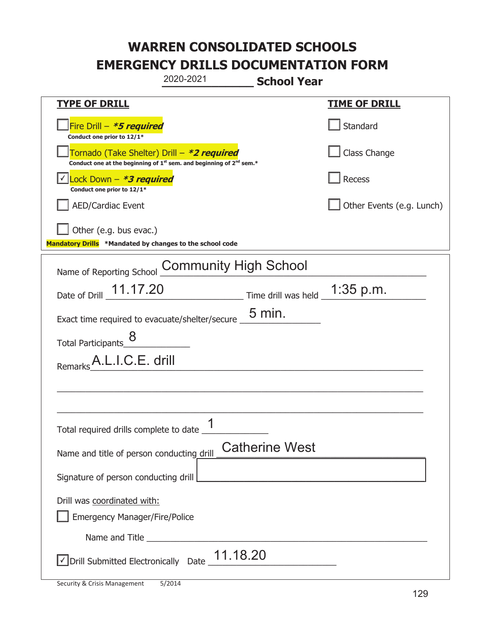|                                                                                                                                           | 2020-2021                    | <b>School Year</b>                |                           |
|-------------------------------------------------------------------------------------------------------------------------------------------|------------------------------|-----------------------------------|---------------------------|
| <b>TYPE OF DRILL</b>                                                                                                                      |                              |                                   | <b>TIME OF DRILL</b>      |
| Fire Drill - *5 required<br>Conduct one prior to 12/1*                                                                                    |                              |                                   | Standard                  |
| Tornado (Take Shelter) Drill – *2 required<br>Conduct one at the beginning of 1 <sup>st</sup> sem. and beginning of 2 <sup>nd</sup> sem.* |                              |                                   | Class Change              |
| Lock Down - *3 required<br>Conduct one prior to 12/1*                                                                                     |                              |                                   | Recess                    |
| <b>AED/Cardiac Event</b>                                                                                                                  |                              |                                   | Other Events (e.g. Lunch) |
| Other (e.g. bus evac.)<br>Mandatory Drills *Mandated by changes to the school code                                                        |                              |                                   |                           |
| Name of Reporting School                                                                                                                  | <b>Community High School</b> |                                   |                           |
| Date of Drill _ 11.17.20                                                                                                                  |                              | Time drill was held $\_1:35$ p.m. |                           |
| Exact time required to evacuate/shelter/secure                                                                                            |                              | $5 \text{ min.}$                  |                           |
| 8<br>Total Participants                                                                                                                   |                              |                                   |                           |
| A.L.I.C.E. drill<br>Remarks                                                                                                               |                              |                                   |                           |
|                                                                                                                                           |                              |                                   |                           |
|                                                                                                                                           |                              |                                   |                           |
|                                                                                                                                           | 1                            |                                   |                           |
| Name and title of person conducting drill                                                                                                 |                              | <b>Catherine West</b>             |                           |
| Signature of person conducting drill                                                                                                      |                              |                                   |                           |
| Drill was coordinated with:<br><b>Emergency Manager/Fire/Police</b>                                                                       |                              |                                   |                           |
|                                                                                                                                           |                              |                                   |                           |
| $\sqrt{\frac{1}{1.18.20}}$ Drill Submitted Electronically Date $\frac{11.18.20}{\sqrt{\frac{1}{1.18.20}}}$                                |                              |                                   |                           |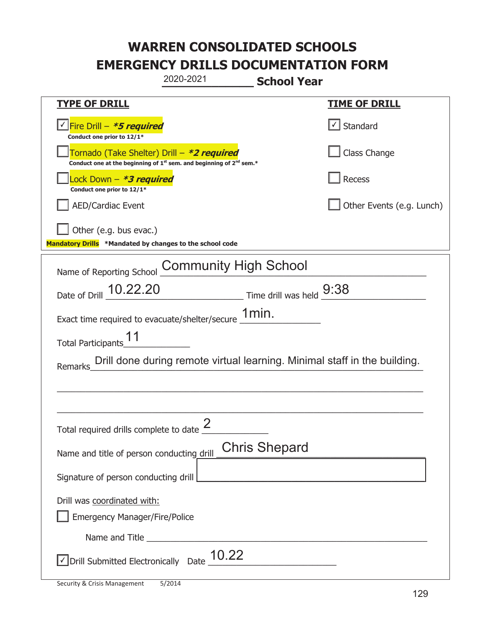|                                                                                    | 2020-2021                                                                                                                                 | <b>School Year</b>         |                           |
|------------------------------------------------------------------------------------|-------------------------------------------------------------------------------------------------------------------------------------------|----------------------------|---------------------------|
| <b>TYPE OF DRILL</b>                                                               |                                                                                                                                           |                            | <b>TIME OF DRILL</b>      |
| Fire Drill - *5 required<br>Conduct one prior to 12/1*                             |                                                                                                                                           |                            | √ Standard                |
|                                                                                    | Tornado (Take Shelter) Drill – *2 required<br>Conduct one at the beginning of 1 <sup>st</sup> sem. and beginning of 2 <sup>nd</sup> sem.* |                            | Class Change              |
| Lock Down – <i>*<b>3 required</b></i><br>Conduct one prior to 12/1*                |                                                                                                                                           |                            | Recess                    |
| <b>AED/Cardiac Event</b>                                                           |                                                                                                                                           |                            | Other Events (e.g. Lunch) |
| Other (e.g. bus evac.)<br>Mandatory Drills *Mandated by changes to the school code |                                                                                                                                           |                            |                           |
| Name of Reporting School                                                           | <b>Community High School</b>                                                                                                              |                            |                           |
| Date of Drill 10.22.20                                                             |                                                                                                                                           | Time drill was held $9:38$ |                           |
|                                                                                    | Exact time required to evacuate/shelter/secure $\underline{\text{1min}}$ .                                                                |                            |                           |
| <b>Total Participants</b>                                                          |                                                                                                                                           |                            |                           |
| <b>Remarks</b>                                                                     | Drill done during remote virtual learning. Minimal staff in the building.                                                                 |                            |                           |
|                                                                                    |                                                                                                                                           |                            |                           |
|                                                                                    |                                                                                                                                           |                            |                           |
| Total required drills complete to date $\frac{2}{3}$                               |                                                                                                                                           |                            |                           |
| Name and title of person conducting drill                                          |                                                                                                                                           | <b>Chris Shepard</b>       |                           |
| Signature of person conducting drill                                               |                                                                                                                                           |                            |                           |
| Drill was coordinated with:<br><b>Emergency Manager/Fire/Police</b>                |                                                                                                                                           |                            |                           |
|                                                                                    |                                                                                                                                           |                            |                           |
| $\sqrt{\text{Drill}}$ Submitted Electronically Date $\_$ 10.22                     |                                                                                                                                           |                            |                           |